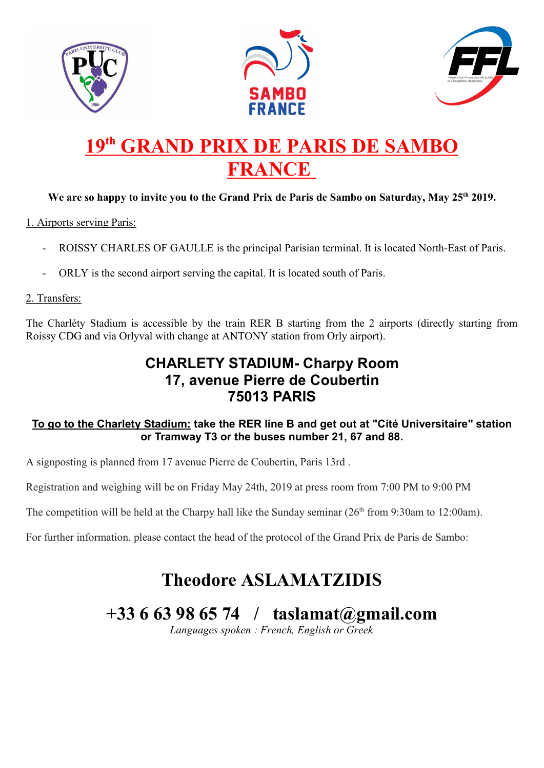





# 19<sup>th</sup> GRAND PRIX DE PARIS DE SAMBO FRANCE

## We are so happy to invite you to the Grand Prix de Paris de Sambo on Saturday, May 25<sup>th</sup> 2019.

### 1. Airports serving Paris:

- ROISSY CHARLES OF GAULLE is the principal Parisian terminal. It is located North-East of Paris.
- ORLY is the second airport serving the capital. It is located south of Paris.

### 2. Transfers:

The Charléty Stadium is accessible by the train RER B starting from the 2 airports (directly starting from Roissy CDG and via Orlyval with change at ANTONY station from Orly airport).

# CHARLETY STADIUM- Charpy Room 17, avenue Pierre de Coubertin 75013 PARIS

### To go to the Charlety Stadium: take the RER line B and get out at "Cité Universitaire" station or Tramway T3 or the buses number 21, 67 and 88.

A signposting is planned from 17 avenue Pierre de Coubertin, Paris 13rd .

Registration and weighing will be on Friday May 24th, 2019 at press room from 7:00 PM to 9:00 PM

The competition will be held at the Charpy hall like the Sunday seminar  $(26<sup>th</sup>$  from 9:30am to 12:00am).

For further information, please contact the head of the protocol of the Grand Prix de Paris de Sambo:

# Theodore ASLAMATZIDIS

# +33 6 63 98 65 74 / taslamat@gmail.com

Languages spoken : French, English or Greek